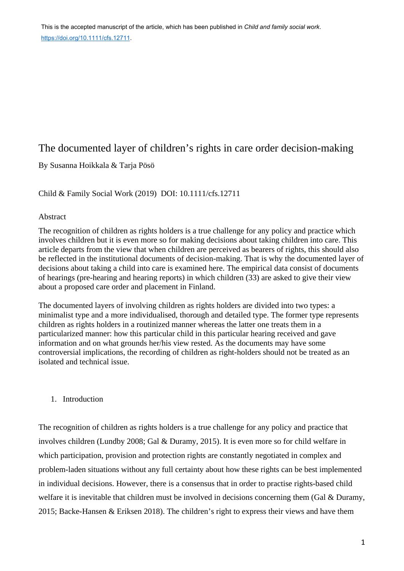# The documented layer of children's rights in care order decision-making

By Susanna Hoikkala & Tarja Pösö

Child & Family Social Work (2019) DOI: 10.1111/cfs.12711

## Abstract

The recognition of children as rights holders is a true challenge for any policy and practice which involves children but it is even more so for making decisions about taking children into care. This article departs from the view that when children are perceived as bearers of rights, this should also be reflected in the institutional documents of decision-making. That is why the documented layer of decisions about taking a child into care is examined here. The empirical data consist of documents of hearings (pre-hearing and hearing reports) in which children (33) are asked to give their view about a proposed care order and placement in Finland.

The documented layers of involving children as rights holders are divided into two types: a minimalist type and a more individualised, thorough and detailed type. The former type represents children as rights holders in a routinized manner whereas the latter one treats them in a particularized manner: how this particular child in this particular hearing received and gave information and on what grounds her/his view rested. As the documents may have some controversial implications, the recording of children as right-holders should not be treated as an isolated and technical issue.

# 1. Introduction

The recognition of children as rights holders is a true challenge for any policy and practice that involves children (Lundby 2008; Gal & Duramy, 2015). It is even more so for child welfare in which participation, provision and protection rights are constantly negotiated in complex and problem-laden situations without any full certainty about how these rights can be best implemented in individual decisions. However, there is a consensus that in order to practise rights-based child welfare it is inevitable that children must be involved in decisions concerning them (Gal & Duramy, 2015; Backe-Hansen & Eriksen 2018). The children's right to express their views and have them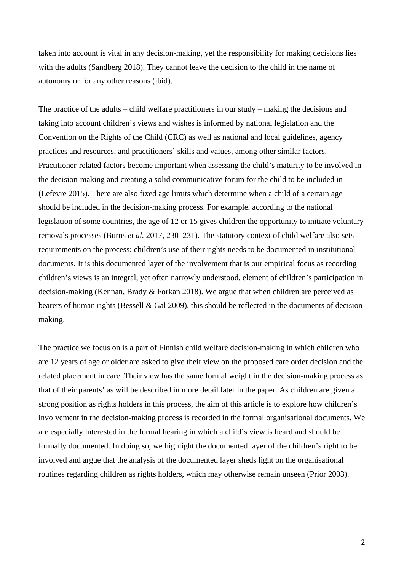taken into account is vital in any decision-making, yet the responsibility for making decisions lies with the adults (Sandberg 2018). They cannot leave the decision to the child in the name of autonomy or for any other reasons (ibid).

The practice of the adults – child welfare practitioners in our study – making the decisions and taking into account children's views and wishes is informed by national legislation and the Convention on the Rights of the Child (CRC) as well as national and local guidelines, agency practices and resources, and practitioners' skills and values, among other similar factors. Practitioner-related factors become important when assessing the child's maturity to be involved in the decision-making and creating a solid communicative forum for the child to be included in (Lefevre 2015). There are also fixed age limits which determine when a child of a certain age should be included in the decision-making process. For example, according to the national legislation of some countries, the age of 12 or 15 gives children the opportunity to initiate voluntary removals processes (Burns *et al.* 2017, 230–231). The statutory context of child welfare also sets requirements on the process: children's use of their rights needs to be documented in institutional documents. It is this documented layer of the involvement that is our empirical focus as recording children's views is an integral, yet often narrowly understood, element of children's participation in decision-making (Kennan, Brady & Forkan 2018). We argue that when children are perceived as bearers of human rights (Bessell & Gal 2009), this should be reflected in the documents of decisionmaking.

The practice we focus on is a part of Finnish child welfare decision-making in which children who are 12 years of age or older are asked to give their view on the proposed care order decision and the related placement in care. Their view has the same formal weight in the decision-making process as that of their parents' as will be described in more detail later in the paper. As children are given a strong position as rights holders in this process, the aim of this article is to explore how children's involvement in the decision-making process is recorded in the formal organisational documents. We are especially interested in the formal hearing in which a child's view is heard and should be formally documented. In doing so, we highlight the documented layer of the children's right to be involved and argue that the analysis of the documented layer sheds light on the organisational routines regarding children as rights holders, which may otherwise remain unseen (Prior 2003).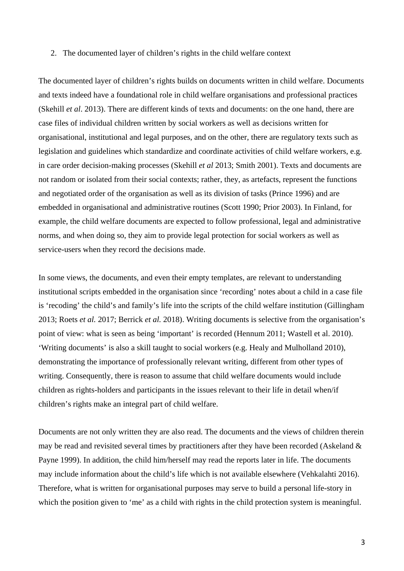#### 2. The documented layer of children's rights in the child welfare context

The documented layer of children's rights builds on documents written in child welfare. Documents and texts indeed have a foundational role in child welfare organisations and professional practices (Skehill *et al*. 2013). There are different kinds of texts and documents: on the one hand, there are case files of individual children written by social workers as well as decisions written for organisational, institutional and legal purposes, and on the other, there are regulatory texts such as legislation and guidelines which standardize and coordinate activities of child welfare workers, e.g. in care order decision-making processes (Skehill *et al* 2013; Smith 2001). Texts and documents are not random or isolated from their social contexts; rather, they, as artefacts, represent the functions and negotiated order of the organisation as well as its division of tasks (Prince 1996) and are embedded in organisational and administrative routines (Scott 1990; Prior 2003). In Finland, for example, the child welfare documents are expected to follow professional, legal and administrative norms, and when doing so, they aim to provide legal protection for social workers as well as service-users when they record the decisions made.

In some views, the documents, and even their empty templates, are relevant to understanding institutional scripts embedded in the organisation since 'recording' notes about a child in a case file is 'recoding' the child's and family's life into the scripts of the child welfare institution (Gillingham 2013; Roets *et al.* 2017; Berrick *et al.* 2018). Writing documents is selective from the organisation's point of view: what is seen as being 'important' is recorded (Hennum 2011; Wastell et al. 2010). 'Writing documents' is also a skill taught to social workers (e.g. Healy and Mulholland 2010), demonstrating the importance of professionally relevant writing, different from other types of writing. Consequently, there is reason to assume that child welfare documents would include children as rights-holders and participants in the issues relevant to their life in detail when/if children's rights make an integral part of child welfare.

Documents are not only written they are also read. The documents and the views of children therein may be read and revisited several times by practitioners after they have been recorded (Askeland & Payne 1999). In addition, the child him/herself may read the reports later in life. The documents may include information about the child's life which is not available elsewhere (Vehkalahti 2016). Therefore, what is written for organisational purposes may serve to build a personal life-story in which the position given to 'me' as a child with rights in the child protection system is meaningful.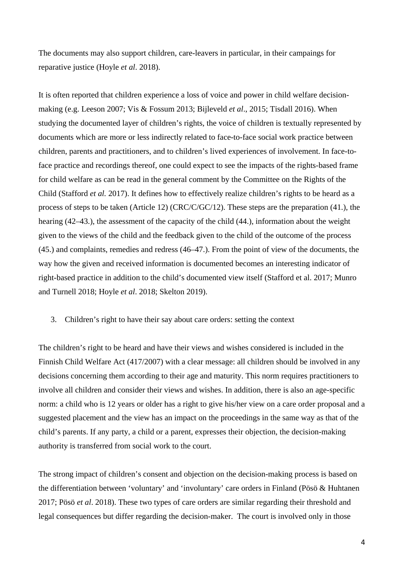The documents may also support children, care-leavers in particular, in their campaings for reparative justice (Hoyle *et al*. 2018).

It is often reported that children experience a loss of voice and power in child welfare decisionmaking (e.g. Leeson 2007; Vis & Fossum 2013; Bijleveld *et al*., 2015; Tisdall 2016). When studying the documented layer of children's rights, the voice of children is textually represented by documents which are more or less indirectly related to face-to-face social work practice between children, parents and practitioners, and to children's lived experiences of involvement. In face-toface practice and recordings thereof, one could expect to see the impacts of the rights-based frame for child welfare as can be read in the general comment by the Committee on the Rights of the Child (Stafford *et al.* 2017). It defines how to effectively realize children's rights to be heard as a process of steps to be taken (Article 12) (CRC/C/GC/12). These steps are the preparation (41.), the hearing (42–43.), the assessment of the capacity of the child (44.), information about the weight given to the views of the child and the feedback given to the child of the outcome of the process (45.) and complaints, remedies and redress (46–47.). From the point of view of the documents, the way how the given and received information is documented becomes an interesting indicator of right-based practice in addition to the child's documented view itself (Stafford et al. 2017; Munro and Turnell 2018; Hoyle *et al*. 2018; Skelton 2019).

## 3. Children's right to have their say about care orders: setting the context

The children's right to be heard and have their views and wishes considered is included in the Finnish Child Welfare Act (417/2007) with a clear message: all children should be involved in any decisions concerning them according to their age and maturity. This norm requires practitioners to involve all children and consider their views and wishes. In addition, there is also an age-specific norm: a child who is 12 years or older has a right to give his/her view on a care order proposal and a suggested placement and the view has an impact on the proceedings in the same way as that of the child's parents. If any party, a child or a parent, expresses their objection, the decision-making authority is transferred from social work to the court.

The strong impact of children's consent and objection on the decision-making process is based on the differentiation between 'voluntary' and 'involuntary' care orders in Finland (Pösö & Huhtanen 2017; Pösö *et al*. 2018). These two types of care orders are similar regarding their threshold and legal consequences but differ regarding the decision-maker. The court is involved only in those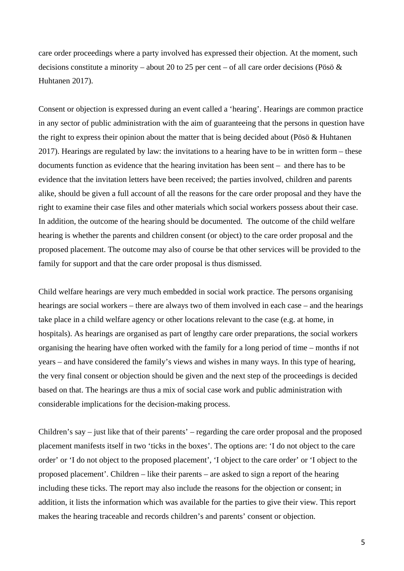care order proceedings where a party involved has expressed their objection. At the moment, such decisions constitute a minority – about 20 to 25 per cent – of all care order decisions (Pösö & Huhtanen 2017).

Consent or objection is expressed during an event called a 'hearing'. Hearings are common practice in any sector of public administration with the aim of guaranteeing that the persons in question have the right to express their opinion about the matter that is being decided about (Pösö & Huhtanen 2017). Hearings are regulated by law: the invitations to a hearing have to be in written form – these documents function as evidence that the hearing invitation has been sent – and there has to be evidence that the invitation letters have been received; the parties involved, children and parents alike, should be given a full account of all the reasons for the care order proposal and they have the right to examine their case files and other materials which social workers possess about their case. In addition, the outcome of the hearing should be documented. The outcome of the child welfare hearing is whether the parents and children consent (or object) to the care order proposal and the proposed placement. The outcome may also of course be that other services will be provided to the family for support and that the care order proposal is thus dismissed.

Child welfare hearings are very much embedded in social work practice. The persons organising hearings are social workers – there are always two of them involved in each case – and the hearings take place in a child welfare agency or other locations relevant to the case (e.g. at home, in hospitals). As hearings are organised as part of lengthy care order preparations, the social workers organising the hearing have often worked with the family for a long period of time – months if not years – and have considered the family's views and wishes in many ways. In this type of hearing, the very final consent or objection should be given and the next step of the proceedings is decided based on that. The hearings are thus a mix of social case work and public administration with considerable implications for the decision-making process.

Children's say – just like that of their parents' – regarding the care order proposal and the proposed placement manifests itself in two 'ticks in the boxes'. The options are: 'I do not object to the care order' or 'I do not object to the proposed placement', 'I object to the care order' or 'I object to the proposed placement'. Children – like their parents – are asked to sign a report of the hearing including these ticks. The report may also include the reasons for the objection or consent; in addition, it lists the information which was available for the parties to give their view. This report makes the hearing traceable and records children's and parents' consent or objection.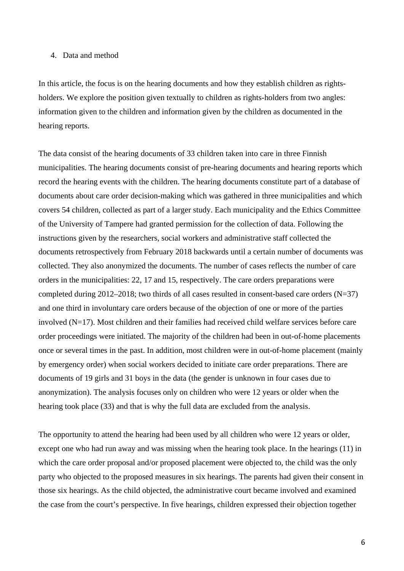## 4. Data and method

In this article, the focus is on the hearing documents and how they establish children as rightsholders. We explore the position given textually to children as rights-holders from two angles: information given to the children and information given by the children as documented in the hearing reports.

The data consist of the hearing documents of 33 children taken into care in three Finnish municipalities. The hearing documents consist of pre-hearing documents and hearing reports which record the hearing events with the children. The hearing documents constitute part of a database of documents about care order decision-making which was gathered in three municipalities and which covers 54 children, collected as part of a larger study. Each municipality and the Ethics Committee of the University of Tampere had granted permission for the collection of data. Following the instructions given by the researchers, social workers and administrative staff collected the documents retrospectively from February 2018 backwards until a certain number of documents was collected. They also anonymized the documents. The number of cases reflects the number of care orders in the municipalities: 22, 17 and 15, respectively. The care orders preparations were completed during 2012–2018; two thirds of all cases resulted in consent-based care orders  $(N=37)$ and one third in involuntary care orders because of the objection of one or more of the parties involved (N=17). Most children and their families had received child welfare services before care order proceedings were initiated. The majority of the children had been in out-of-home placements once or several times in the past. In addition, most children were in out-of-home placement (mainly by emergency order) when social workers decided to initiate care order preparations. There are documents of 19 girls and 31 boys in the data (the gender is unknown in four cases due to anonymization). The analysis focuses only on children who were 12 years or older when the hearing took place (33) and that is why the full data are excluded from the analysis.

The opportunity to attend the hearing had been used by all children who were 12 years or older, except one who had run away and was missing when the hearing took place. In the hearings (11) in which the care order proposal and/or proposed placement were objected to, the child was the only party who objected to the proposed measures in six hearings. The parents had given their consent in those six hearings. As the child objected, the administrative court became involved and examined the case from the court's perspective. In five hearings, children expressed their objection together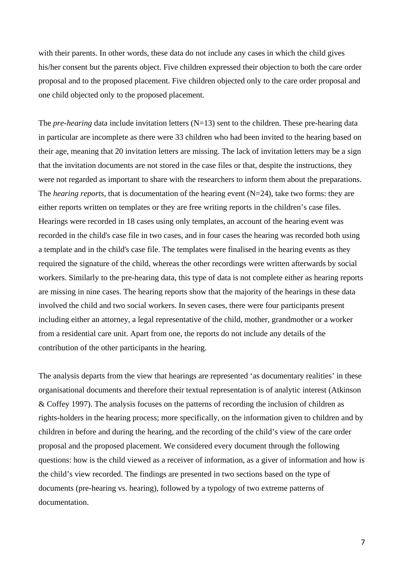with their parents. In other words, these data do not include any cases in which the child gives his/her consent but the parents object. Five children expressed their objection to both the care order proposal and to the proposed placement. Five children objected only to the care order proposal and one child objected only to the proposed placement.

The *pre-hearing* data include invitation letters (N=13) sent to the children. These pre-hearing data in particular are incomplete as there were 33 children who had been invited to the hearing based on their age, meaning that 20 invitation letters are missing. The lack of invitation letters may be a sign that the invitation documents are not stored in the case files or that, despite the instructions, they were not regarded as important to share with the researchers to inform them about the preparations. The *hearing reports*, that is documentation of the hearing event (N=24), take two forms: they are either reports written on templates or they are free writing reports in the children's case files. Hearings were recorded in 18 cases using only templates, an account of the hearing event was recorded in the child's case file in two cases, and in four cases the hearing was recorded both using a template and in the child's case file. The templates were finalised in the hearing events as they required the signature of the child, whereas the other recordings were written afterwards by social workers. Similarly to the pre-hearing data, this type of data is not complete either as hearing reports are missing in nine cases. The hearing reports show that the majority of the hearings in these data involved the child and two social workers. In seven cases, there were four participants present including either an attorney, a legal representative of the child, mother, grandmother or a worker from a residential care unit. Apart from one, the reports do not include any details of the contribution of the other participants in the hearing.

The analysis departs from the view that hearings are represented 'as documentary realities' in these organisational documents and therefore their textual representation is of analytic interest (Atkinson & Coffey 1997). The analysis focuses on the patterns of recording the inclusion of children as rights-holders in the hearing process; more specifically, on the information given to children and by children in before and during the hearing, and the recording of the child's view of the care order proposal and the proposed placement. We considered every document through the following questions: how is the child viewed as a receiver of information, as a giver of information and how is the child's view recorded. The findings are presented in two sections based on the type of documents (pre-hearing vs. hearing), followed by a typology of two extreme patterns of documentation.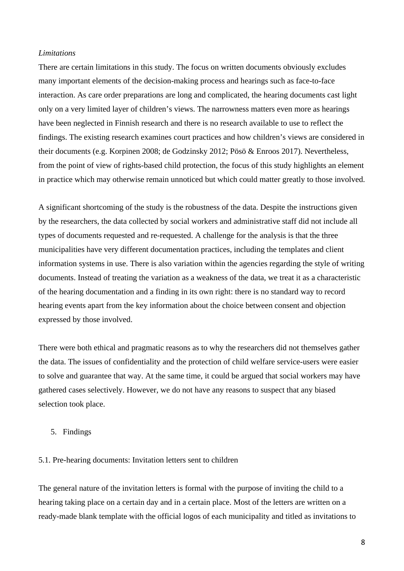#### *Limitations*

There are certain limitations in this study. The focus on written documents obviously excludes many important elements of the decision-making process and hearings such as face-to-face interaction. As care order preparations are long and complicated, the hearing documents cast light only on a very limited layer of children's views. The narrowness matters even more as hearings have been neglected in Finnish research and there is no research available to use to reflect the findings. The existing research examines court practices and how children's views are considered in their documents (e.g. Korpinen 2008; de Godzinsky 2012; Pösö & Enroos 2017). Nevertheless, from the point of view of rights-based child protection, the focus of this study highlights an element in practice which may otherwise remain unnoticed but which could matter greatly to those involved.

A significant shortcoming of the study is the robustness of the data. Despite the instructions given by the researchers, the data collected by social workers and administrative staff did not include all types of documents requested and re-requested. A challenge for the analysis is that the three municipalities have very different documentation practices, including the templates and client information systems in use. There is also variation within the agencies regarding the style of writing documents. Instead of treating the variation as a weakness of the data, we treat it as a characteristic of the hearing documentation and a finding in its own right: there is no standard way to record hearing events apart from the key information about the choice between consent and objection expressed by those involved.

There were both ethical and pragmatic reasons as to why the researchers did not themselves gather the data. The issues of confidentiality and the protection of child welfare service-users were easier to solve and guarantee that way. At the same time, it could be argued that social workers may have gathered cases selectively. However, we do not have any reasons to suspect that any biased selection took place.

#### 5. Findings

#### 5.1. Pre-hearing documents: Invitation letters sent to children

The general nature of the invitation letters is formal with the purpose of inviting the child to a hearing taking place on a certain day and in a certain place. Most of the letters are written on a ready-made blank template with the official logos of each municipality and titled as invitations to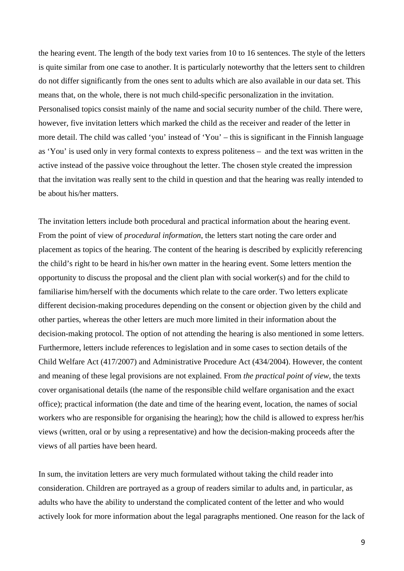the hearing event. The length of the body text varies from 10 to 16 sentences. The style of the letters is quite similar from one case to another. It is particularly noteworthy that the letters sent to children do not differ significantly from the ones sent to adults which are also available in our data set. This means that, on the whole, there is not much child-specific personalization in the invitation. Personalised topics consist mainly of the name and social security number of the child. There were, however, five invitation letters which marked the child as the receiver and reader of the letter in more detail. The child was called 'you' instead of 'You' – this is significant in the Finnish language as 'You' is used only in very formal contexts to express politeness – and the text was written in the active instead of the passive voice throughout the letter. The chosen style created the impression that the invitation was really sent to the child in question and that the hearing was really intended to be about his/her matters.

The invitation letters include both procedural and practical information about the hearing event. From the point of view of *procedural information*, the letters start noting the care order and placement as topics of the hearing. The content of the hearing is described by explicitly referencing the child's right to be heard in his/her own matter in the hearing event. Some letters mention the opportunity to discuss the proposal and the client plan with social worker(s) and for the child to familiarise him/herself with the documents which relate to the care order. Two letters explicate different decision-making procedures depending on the consent or objection given by the child and other parties, whereas the other letters are much more limited in their information about the decision-making protocol. The option of not attending the hearing is also mentioned in some letters. Furthermore, letters include references to legislation and in some cases to section details of the Child Welfare Act (417/2007) and Administrative Procedure Act (434/2004). However, the content and meaning of these legal provisions are not explained. From *the practical point of view*, the texts cover organisational details (the name of the responsible child welfare organisation and the exact office); practical information (the date and time of the hearing event, location, the names of social workers who are responsible for organising the hearing); how the child is allowed to express her/his views (written, oral or by using a representative) and how the decision-making proceeds after the views of all parties have been heard.

In sum, the invitation letters are very much formulated without taking the child reader into consideration. Children are portrayed as a group of readers similar to adults and, in particular, as adults who have the ability to understand the complicated content of the letter and who would actively look for more information about the legal paragraphs mentioned. One reason for the lack of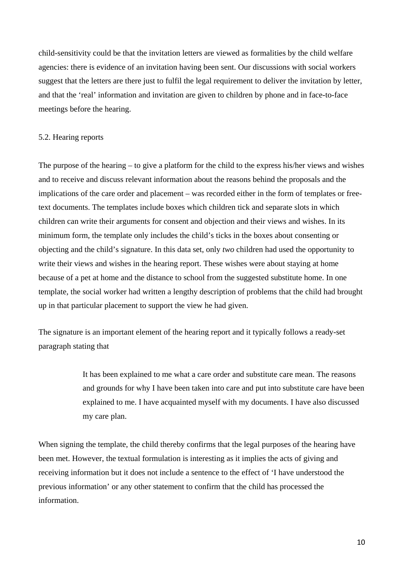child-sensitivity could be that the invitation letters are viewed as formalities by the child welfare agencies: there is evidence of an invitation having been sent. Our discussions with social workers suggest that the letters are there just to fulfil the legal requirement to deliver the invitation by letter, and that the 'real' information and invitation are given to children by phone and in face-to-face meetings before the hearing.

## 5.2. Hearing reports

The purpose of the hearing – to give a platform for the child to the express his/her views and wishes and to receive and discuss relevant information about the reasons behind the proposals and the implications of the care order and placement – was recorded either in the form of templates or freetext documents. The templates include boxes which children tick and separate slots in which children can write their arguments for consent and objection and their views and wishes. In its minimum form, the template only includes the child's ticks in the boxes about consenting or objecting and the child's signature. In this data set, only *two* children had used the opportunity to write their views and wishes in the hearing report. These wishes were about staying at home because of a pet at home and the distance to school from the suggested substitute home. In one template, the social worker had written a lengthy description of problems that the child had brought up in that particular placement to support the view he had given.

The signature is an important element of the hearing report and it typically follows a ready-set paragraph stating that

> It has been explained to me what a care order and substitute care mean. The reasons and grounds for why I have been taken into care and put into substitute care have been explained to me. I have acquainted myself with my documents. I have also discussed my care plan.

When signing the template, the child thereby confirms that the legal purposes of the hearing have been met. However, the textual formulation is interesting as it implies the acts of giving and receiving information but it does not include a sentence to the effect of 'I have understood the previous information' or any other statement to confirm that the child has processed the information.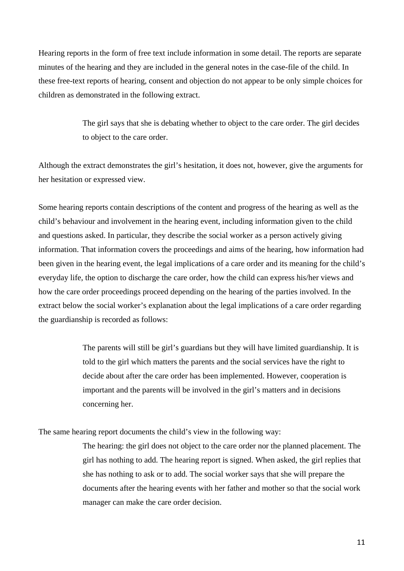Hearing reports in the form of free text include information in some detail. The reports are separate minutes of the hearing and they are included in the general notes in the case-file of the child. In these free-text reports of hearing, consent and objection do not appear to be only simple choices for children as demonstrated in the following extract.

> The girl says that she is debating whether to object to the care order. The girl decides to object to the care order.

Although the extract demonstrates the girl's hesitation, it does not, however, give the arguments for her hesitation or expressed view.

Some hearing reports contain descriptions of the content and progress of the hearing as well as the child's behaviour and involvement in the hearing event, including information given to the child and questions asked. In particular, they describe the social worker as a person actively giving information. That information covers the proceedings and aims of the hearing, how information had been given in the hearing event, the legal implications of a care order and its meaning for the child's everyday life, the option to discharge the care order, how the child can express his/her views and how the care order proceedings proceed depending on the hearing of the parties involved. In the extract below the social worker's explanation about the legal implications of a care order regarding the guardianship is recorded as follows:

> The parents will still be girl's guardians but they will have limited guardianship. It is told to the girl which matters the parents and the social services have the right to decide about after the care order has been implemented. However, cooperation is important and the parents will be involved in the girl's matters and in decisions concerning her.

The same hearing report documents the child's view in the following way:

The hearing: the girl does not object to the care order nor the planned placement. The girl has nothing to add. The hearing report is signed. When asked, the girl replies that she has nothing to ask or to add. The social worker says that she will prepare the documents after the hearing events with her father and mother so that the social work manager can make the care order decision.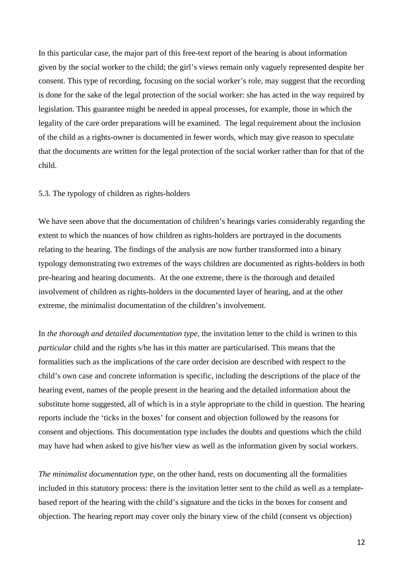In this particular case, the major part of this free-text report of the hearing is about information given by the social worker to the child; the girl's views remain only vaguely represented despite her consent. This type of recording, focusing on the social worker's role, may suggest that the recording is done for the sake of the legal protection of the social worker: she has acted in the way required by legislation. This guarantee might be needed in appeal processes, for example, those in which the legality of the care order preparations will be examined. The legal requirement about the inclusion of the child as a rights-owner is documented in fewer words, which may give reason to speculate that the documents are written for the legal protection of the social worker rather than for that of the child.

#### 5.3. The typology of children as rights-holders

We have seen above that the documentation of children's hearings varies considerably regarding the extent to which the nuances of how children as rights-holders are portrayed in the documents relating to the hearing. The findings of the analysis are now further transformed into a binary typology demonstrating two extremes of the ways children are documented as rights-holders in both pre-hearing and hearing documents. At the one extreme, there is the thorough and detailed involvement of children as rights-holders in the documented layer of hearing, and at the other extreme, the minimalist documentation of the children's involvement.

In *the thorough and detailed documentation type*, the invitation letter to the child is written to this *particular* child and the rights s/he has in this matter are particularised. This means that the formalities such as the implications of the care order decision are described with respect to the child's own case and concrete information is specific, including the descriptions of the place of the hearing event, names of the people present in the hearing and the detailed information about the substitute home suggested, all of which is in a style appropriate to the child in question. The hearing reports include the 'ticks in the boxes' for consent and objection followed by the reasons for consent and objections. This documentation type includes the doubts and questions which the child may have had when asked to give his/her view as well as the information given by social workers.

*The minimalist documentation type*, on the other hand, rests on documenting all the formalities included in this statutory process: there is the invitation letter sent to the child as well as a templatebased report of the hearing with the child's signature and the ticks in the boxes for consent and objection. The hearing report may cover only the binary view of the child (consent vs objection)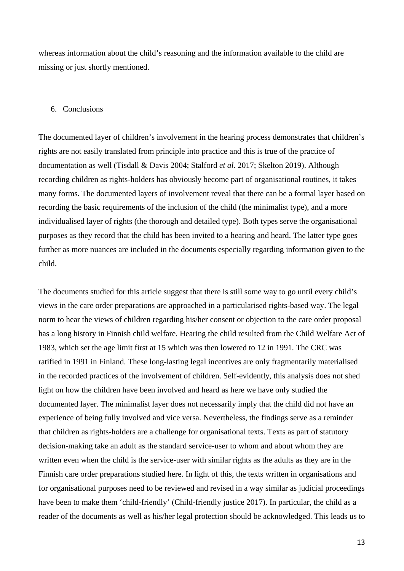whereas information about the child's reasoning and the information available to the child are missing or just shortly mentioned.

## 6. Conclusions

The documented layer of children's involvement in the hearing process demonstrates that children's rights are not easily translated from principle into practice and this is true of the practice of documentation as well (Tisdall & Davis 2004; Stalford *et al*. 2017; Skelton 2019). Although recording children as rights-holders has obviously become part of organisational routines, it takes many forms. The documented layers of involvement reveal that there can be a formal layer based on recording the basic requirements of the inclusion of the child (the minimalist type), and a more individualised layer of rights (the thorough and detailed type). Both types serve the organisational purposes as they record that the child has been invited to a hearing and heard. The latter type goes further as more nuances are included in the documents especially regarding information given to the child.

The documents studied for this article suggest that there is still some way to go until every child's views in the care order preparations are approached in a particularised rights-based way. The legal norm to hear the views of children regarding his/her consent or objection to the care order proposal has a long history in Finnish child welfare. Hearing the child resulted from the Child Welfare Act of 1983, which set the age limit first at 15 which was then lowered to 12 in 1991. The CRC was ratified in 1991 in Finland. These long-lasting legal incentives are only fragmentarily materialised in the recorded practices of the involvement of children. Self-evidently, this analysis does not shed light on how the children have been involved and heard as here we have only studied the documented layer. The minimalist layer does not necessarily imply that the child did not have an experience of being fully involved and vice versa. Nevertheless, the findings serve as a reminder that children as rights-holders are a challenge for organisational texts. Texts as part of statutory decision-making take an adult as the standard service-user to whom and about whom they are written even when the child is the service-user with similar rights as the adults as they are in the Finnish care order preparations studied here. In light of this, the texts written in organisations and for organisational purposes need to be reviewed and revised in a way similar as judicial proceedings have been to make them 'child-friendly' (Child-friendly justice 2017). In particular, the child as a reader of the documents as well as his/her legal protection should be acknowledged. This leads us to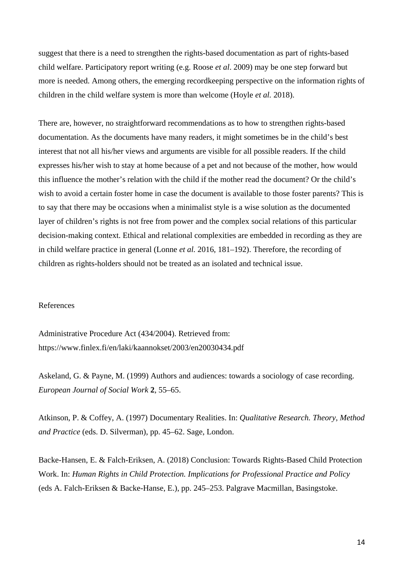suggest that there is a need to strengthen the rights-based documentation as part of rights-based child welfare. Participatory report writing (e.g. Roose *et al*. 2009) may be one step forward but more is needed. Among others, the emerging recordkeeping perspective on the information rights of children in the child welfare system is more than welcome (Hoyle *et al.* 2018).

There are, however, no straightforward recommendations as to how to strengthen rights-based documentation. As the documents have many readers, it might sometimes be in the child's best interest that not all his/her views and arguments are visible for all possible readers. If the child expresses his/her wish to stay at home because of a pet and not because of the mother, how would this influence the mother's relation with the child if the mother read the document? Or the child's wish to avoid a certain foster home in case the document is available to those foster parents? This is to say that there may be occasions when a minimalist style is a wise solution as the documented layer of children's rights is not free from power and the complex social relations of this particular decision-making context. Ethical and relational complexities are embedded in recording as they are in child welfare practice in general (Lonne *et al.* 2016, 181–192). Therefore, the recording of children as rights-holders should not be treated as an isolated and technical issue.

#### References

Administrative Procedure Act (434/2004). Retrieved from: https://www.finlex.fi/en/laki/kaannokset/2003/en20030434.pdf

Askeland, G. & Payne, M. (1999) Authors and audiences: towards a sociology of case recording. *European Journal of Social Work* **2**, 55–65.

Atkinson, P. & Coffey, A. (1997) Documentary Realities. In: *Qualitative Research. Theory, Method and Practice* (eds. D. Silverman), pp. 45–62. Sage, London.

Backe-Hansen, E. & Falch-Eriksen, A. (2018) Conclusion: Towards Rights-Based Child Protection Work. In: *Human Rights in Child Protection. Implications for Professional Practice and Policy* (eds A. Falch-Eriksen & Backe-Hanse, E.), pp. 245–253. Palgrave Macmillan, Basingstoke.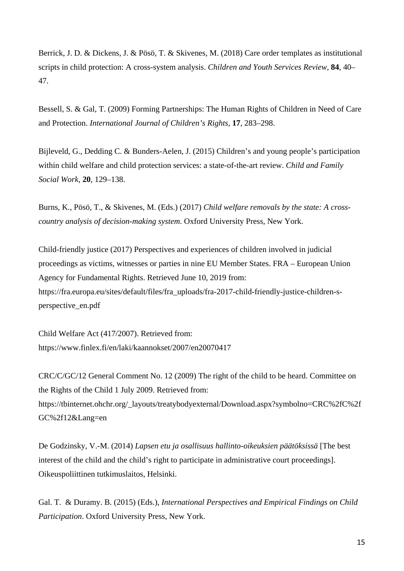Berrick, J. D. & Dickens, J. & Pösö, T. & Skivenes, M. (2018) Care order templates as institutional scripts in child protection: A cross-system analysis. *Children and Youth Services Review,* **84**, 40– 47.

Bessell, S. & Gal, T. (2009) Forming Partnerships: The Human Rights of Children in Need of Care and Protection. *International Journal of Children's Rights*, **17**, 283–298.

Bijleveld, G., Dedding C. & Bunders-Aelen, J. (2015) Children's and young people's participation within child welfare and child protection services: a state-of-the-art review. *Child and Family Social Work*, **20**, 129–138.

Burns, K., Pösö, T., & Skivenes, M. (Eds.) (2017) *Child welfare removals by the state: A crosscountry analysis of decision-making system*. Oxford University Press, New York.

Child-friendly justice (2017) Perspectives and experiences of children involved in judicial proceedings as victims, witnesses or parties in nine EU Member States. FRA – European Union Agency for Fundamental Rights. Retrieved June 10, 2019 from: https://fra.europa.eu/sites/default/files/fra\_uploads/fra-2017-child-friendly-justice-children-sperspective\_en.pdf

Child Welfare Act (417/2007). Retrieved from: https://www.finlex.fi/en/laki/kaannokset/2007/en20070417

CRC/C/GC/12 General Comment No. 12 (2009) The right of the child to be heard. Committee on the Rights of the Child 1 July 2009. Retrieved from: https://tbinternet.ohchr.org/\_layouts/treatybodyexternal/Download.aspx?symbolno=CRC%2fC%2f GC%2f12&Lang=en

De Godzinsky, V.-M. (2014) *Lapsen etu ja osallisuus hallinto-oikeuksien päätöksissä* [The best interest of the child and the child's right to participate in administrative court proceedings]. Oikeuspoliittinen tutkimuslaitos, Helsinki.

Gal. T. & Duramy. B. (2015) (Eds.), *International Perspectives and Empirical Findings on Child Participation*. Oxford University Press, New York.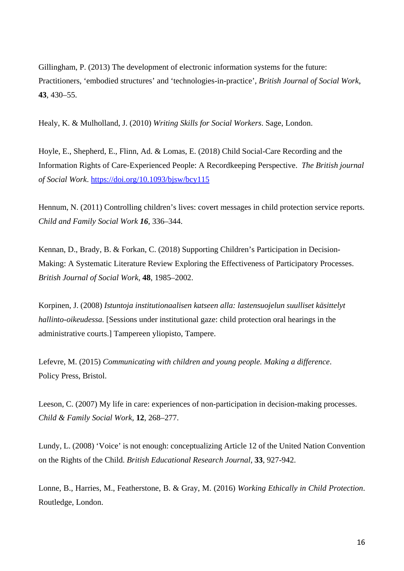Gillingham, P. (2013) The development of electronic information systems for the future: Practitioners, 'embodied structures' and 'technologies-in-practice', *British Journal of Social Work*, **43**, 430–55.

Healy, K. & Mulholland, J. (2010) *Writing Skills for Social Workers*. Sage, London.

Hoyle, E., Shepherd, E., Flinn, Ad. & Lomas, E. (2018) Child Social-Care Recording and the Information Rights of Care-Experienced People: A Recordkeeping Perspective. *The British journal of Social Work*.<https://doi.org/10.1093/bjsw/bcy115>

Hennum, N. (2011) Controlling children's lives: covert messages in child protection service reports. *Child and Family Social Work 16*, 336–344.

Kennan, D., Brady, B. & Forkan, C. (2018) Supporting Children's Participation in Decision-Making: A Systematic Literature Review Exploring the Effectiveness of Participatory Processes. *British Journal of Social Work*, **48**, 1985–2002.

Korpinen, J. (2008) *Istuntoja institutionaalisen katseen alla: lastensuojelun suulliset käsittelyt hallinto-oikeudessa.* [Sessions under institutional gaze: child protection oral hearings in the administrative courts.] Tampereen yliopisto, Tampere.

Lefevre, M. (2015) *Communicating with children and young people. Making a difference*. Policy Press, Bristol.

Leeson, C. (2007) My life in care: experiences of non-participation in decision-making processes. *Child & Family Social Work,* **12**, 268–277.

Lundy, L. (2008) 'Voice' is not enough: conceptualizing Article 12 of the United Nation Convention on the Rights of the Child. *British Educational Research Journal*, **33**, 927-942.

Lonne, B., Harries, M., Featherstone, B. & Gray, M. (2016) *Working Ethically in Child Protection*. Routledge, London.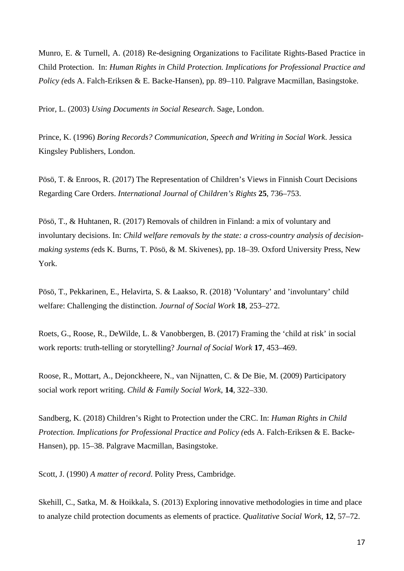Munro, E. & Turnell, A. (2018) Re-designing Organizations to Facilitate Rights-Based Practice in Child Protection. In: *Human Rights in Child Protection. Implications for Professional Practice and Policy (*eds A. Falch-Eriksen & E. Backe-Hansen), pp. 89–110. Palgrave Macmillan, Basingstoke.

Prior, L. (2003) *Using Documents in Social Research*. Sage, London.

Prince, K. (1996) *Boring Records? Communication, Speech and Writing in Social Work*. Jessica Kingsley Publishers, London.

Pösö, T. & Enroos, R. (2017) The Representation of Children's Views in Finnish Court Decisions Regarding Care Orders. *International Journal of Children's Rights* **25**, 736–753.

Pösö, T., & Huhtanen, R. (2017) Removals of children in Finland: a mix of voluntary and involuntary decisions. In: *Child welfare removals by the state: a cross-country analysis of decisionmaking systems (*eds K. Burns, T. Pösö, & M. Skivenes), pp. 18–39*.* Oxford University Press, New York.

Pösö, T., Pekkarinen, E., Helavirta, S. & Laakso, R. (2018) 'Voluntary' and 'involuntary' child welfare: Challenging the distinction. *Journal of Social Work* **18**, 253–272.

Roets, G., Roose, R., DeWilde, L. & Vanobbergen, B. (2017) Framing the 'child at risk' in social work reports: truth-telling or storytelling? *Journal of Social Work* **17**, 453–469.

Roose, R., Mottart, A., Dejonckheere, N., van Nijnatten, C. & De Bie, M. (2009) Participatory social work report writing. *Child & Family Social Work*, **14**, 322–330.

Sandberg, K. (2018) Children's Right to Protection under the CRC. In: *Human Rights in Child Protection. Implications for Professional Practice and Policy (*eds A. Falch-Eriksen & E. Backe-Hansen), pp. 15–38. Palgrave Macmillan, Basingstoke.

Scott, J. (1990) *A matter of record*. Polity Press, Cambridge.

Skehill, C., Satka, M. & Hoikkala, S. (2013) Exploring innovative methodologies in time and place to analyze child protection documents as elements of practice. *Qualitative Social Work*, **12**, 57–72.